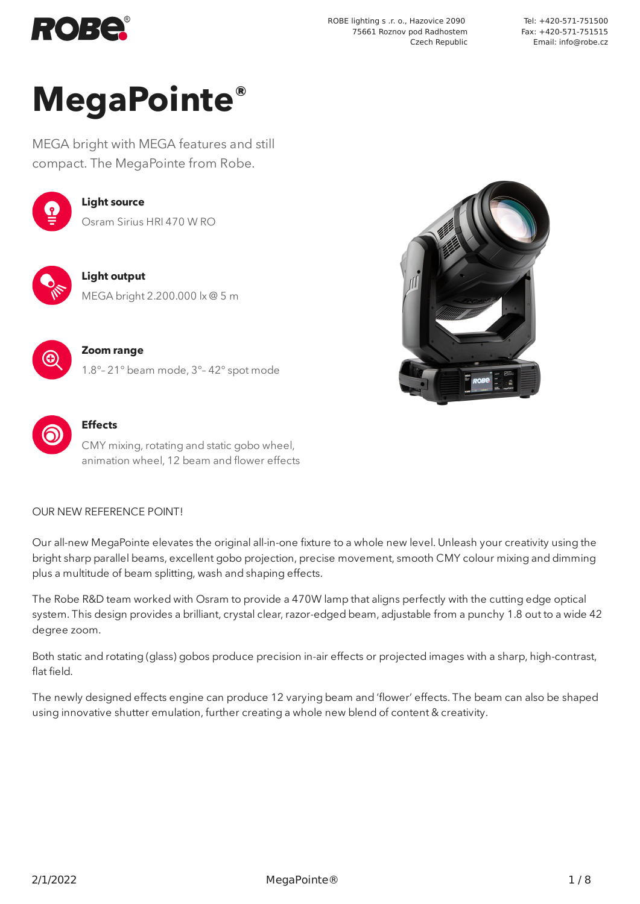

ROBE lighting s .r. o., Hazovice 2090 75661 Roznov pod Radhostem Czech Republic

Tel: +420-571-751500 Fax: +420-571-751515 Email: info@robe.cz

# **MegaPointe®**

MEGA bright with MEGA features and still compact. The MegaPointe from Robe.



#### **Light source** Osram Sirius HRI 470 W RO



**Light output** MEGA bright 2.200.000 lx @ 5 m



#### **Zoom range** 1.8°– 21° beam mode, 3°– 42° spot mode



**Effects**

CMY mixing, rotating and static gobo wheel, animation wheel, 12 beam and flower effects

#### OUR NEW REFERENCE POINT!

Our all-new MegaPointe elevates the original all-in-one fixture to a whole new level. Unleash your creativity using the bright sharp parallel beams, excellent gobo projection, precise movement, smooth CMY colour mixing and dimming plus a multitude of beam splitting, wash and shaping effects.

The Robe R&D team worked with Osram to provide a 470W lamp that aligns perfectly with the cutting edge optical system. This design provides a brilliant, crystal clear, razor-edged beam, adjustable from a punchy 1.8 out to a wide 42 degree zoom.

Both static and rotating (glass) gobos produce precision in-air effects or projected images with a sharp, high-contrast, flat field.

The newly designed effects engine can produce 12 varying beam and 'flower' effects. The beam can also be shaped using innovative shutter emulation, further creating a whole new blend of content & creativity.

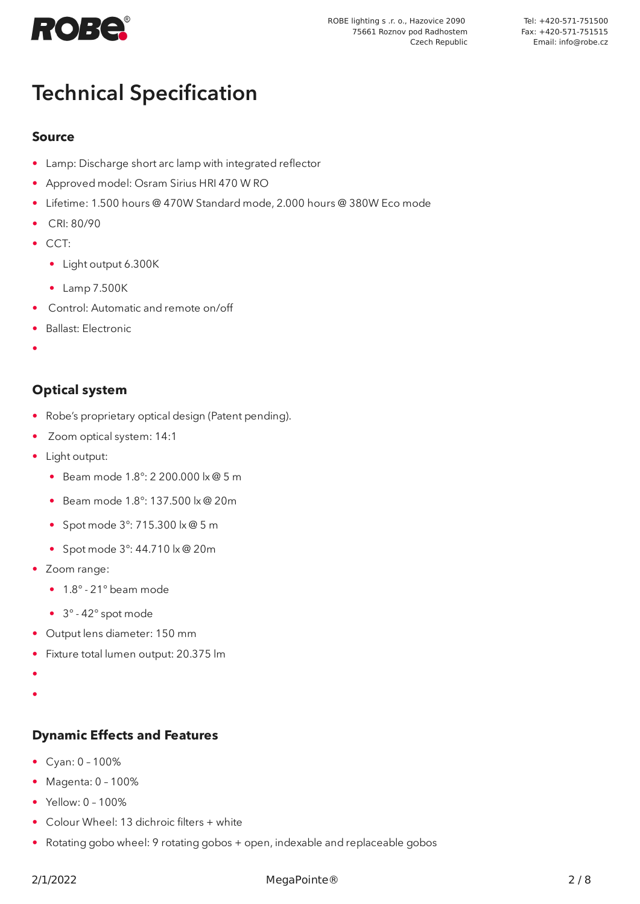

# Technical Specification

#### **Source**

- Lamp: Discharge short arc lamp with integrated reflector
- Approved model: Osram Sirius HRI 470 W RO
- Lifetime: 1.500 hours @ 470W Standard mode, 2.000 hours @ 380W Eco mode
- CRI: 80/90
- CCT:
	- Light output 6.300K
	- Lamp 7.500K
- Control: Automatic and remote on/off
- Ballast: Electronic
- •

# **Optical system**

- Robe's proprietary optical design (Patent pending).
- Zoom optical system: 14:1
- Light output:
	- Beam mode 1.8°: 2 200.000 lx @ 5 m
	- Beam mode 1.8°: 137.500 lx @ 20m
	- Spot mode 3°: 715.300 lx @ 5 m
	- Spot mode 3°: 44.710 lx @ 20m
- Zoom range:
	- 1.8° 21° beam mode
	- 3° 42° spot mode
- Output lens diameter: 150 mm
- Fixture total lumen output: 20.375 lm
- •
- •

#### **Dynamic Effects and Features**

- Cyan: 0 100%
- Magenta: 0 100%
- Yellow: 0 100%
- Colour Wheel: 13 dichroic filters + white
- Rotating gobo wheel: 9 rotating gobos + open, indexable and replaceable gobos

#### 2/1/2022 MegaPointe® 2 / 8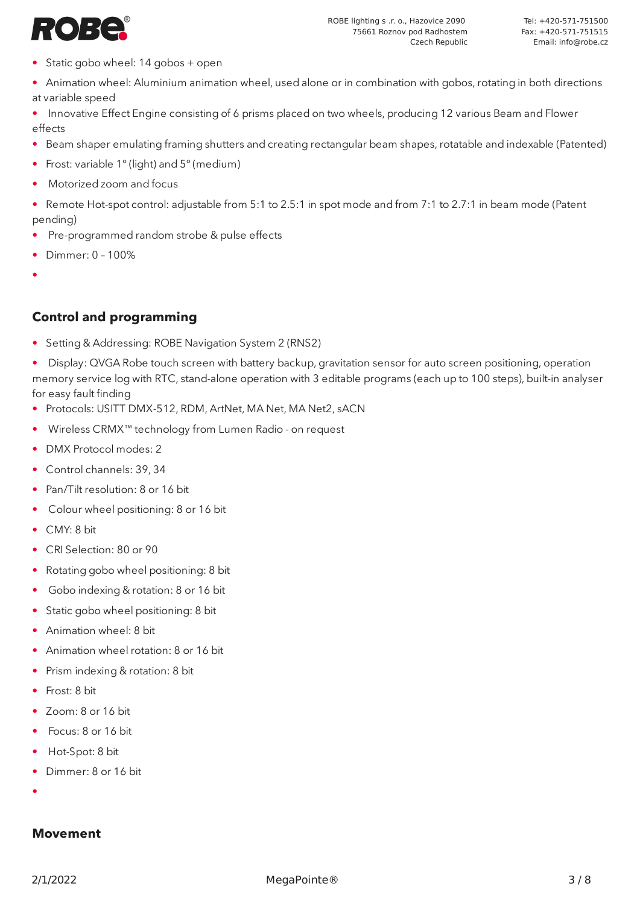

- Static gobo wheel: 14 gobos + open
- Animation wheel: Aluminium animation wheel, used alone or in combination with gobos, rotating in both directions at variable speed
- Innovative Effect Engine consisting of 6 prisms placed on two wheels, producing 12 various Beam and Flower effects
- Beam shaper emulating framing shutters and creating rectangular beam shapes, rotatable and indexable (Patented)
- Frost: variable 1° (light) and 5° (medium)
- Motorized zoom and focus
- Remote Hot-spot control: adjustable from 5:1 to 2.5:1 in spot mode and from 7:1 to 2.7:1 in beam mode (Patent pending)
- Pre-programmed random strobe & pulse effects
- Dimmer: 0 100%
- •

#### **Control and programming**

• Setting & Addressing: ROBE Navigation System 2 (RNS2)

• Display: QVGA Robe touch screen with battery backup, gravitation sensor for auto screen positioning, operation memory service log with RTC, stand-alone operation with 3 editable programs (each up to 100 steps), built-in analyser for easy fault finding

- Protocols: USITT DMX-512, RDM, ArtNet, MA Net, MA Net2, sACN
- Wireless CRMX™ technology from Lumen Radio on request
- DMX Protocol modes: 2
- Control channels: 39, 34
- Pan/Tilt resolution: 8 or 16 bit
- Colour wheel positioning: 8 or 16 bit
- CMY: 8 bit
- CRI Selection: 80 or 90
- Rotating gobo wheel positioning: 8 bit
- Gobo indexing & rotation: 8 or 16 bit
- Static gobo wheel positioning: 8 bit
- Animation wheel: 8 bit
- Animation wheel rotation: 8 or 16 bit
- Prism indexing & rotation: 8 bit
- Frost: 8 bit
- Zoom: 8 or 16 bit
- Focus: 8 or 16 bit
- Hot-Spot: 8 bit
- Dimmer: 8 or 16 bit
- •

#### **Movement**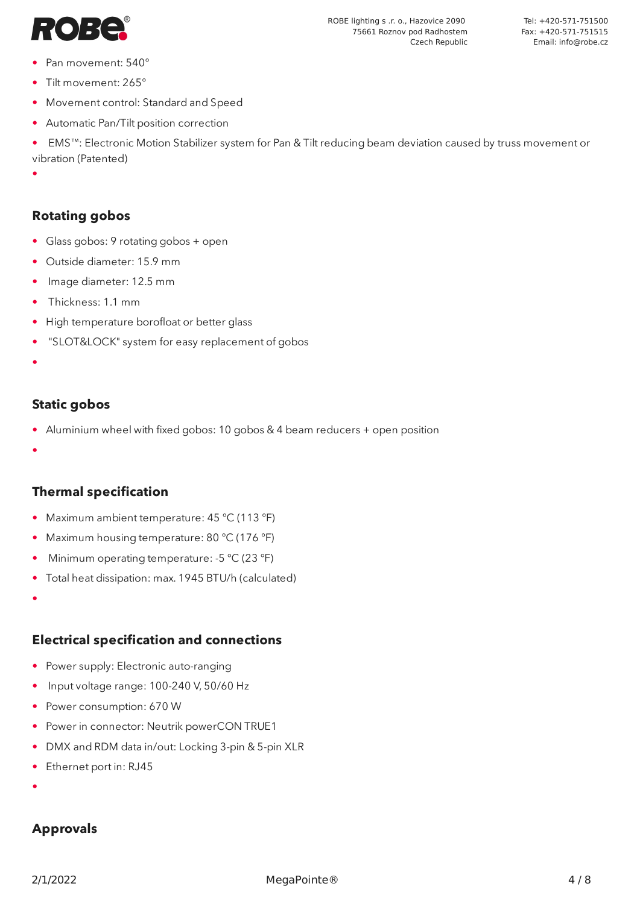

- Pan movement: 540°
- Tilt movement: 265°
- Movement control: Standard and Speed
- Automatic Pan/Tilt position correction

• EMS™: Electronic Motion Stabilizer system for Pan & Tilt reducing beam deviation caused by truss movement or vibration (Patented)

ROBE lighting s .r. o., Hazovice 2090 75661 Roznov pod Radhostem

Czech Republic

•

#### **Rotating gobos**

- Glass gobos: 9 rotating gobos + open
- Outside diameter: 15.9 mm
- Image diameter: 12.5 mm
- Thickness: 1.1 mm
- High temperature borofloat or better glass
- "SLOT&LOCK" system for easy replacement of gobos
- •

#### **Static gobos**

- Aluminium wheel with fixed gobos: 10 gobos & 4 beam reducers + open position
- •

#### **Thermal specification**

- Maximum ambient temperature: 45 °C (113 °F)
- Maximum housing temperature: 80 °C (176 °F)
- Minimum operating temperature: -5 °C (23 °F)
- Total heat dissipation: max. 1945 BTU/h (calculated)
- •

# **Electrical specification and connections**

- Power supply: Electronic auto-ranging
- Input voltage range: 100-240 V, 50/60 Hz
- Power consumption: 670 W
- Power in connector: Neutrik powerCON TRUE1
- DMX and RDM data in/out: Locking 3-pin & 5-pin XLR
- Ethernet port in: RJ45
- •

# **Approvals**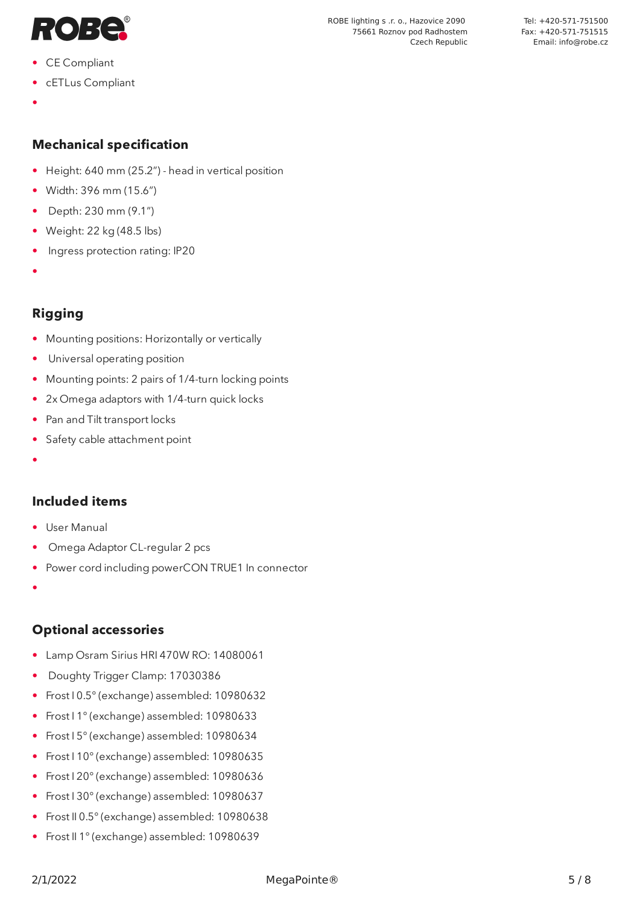

- CE Compliant
- cETLus Compliant
- •

#### **Mechanical specification**

- Height: 640 mm (25.2") head in vertical position
- Width: 396 mm (15.6")
- Depth: 230 mm (9.1")
- Weight: 22 kg (48.5 lbs)
- Ingress protection rating: IP20
- •

# **Rigging**

- Mounting positions: Horizontally or vertically
- Universal operating position
- Mounting points: 2 pairs of 1/4-turn locking points
- 2x Omega adaptors with 1/4-turn quick locks
- Pan and Tilt transport locks
- Safety cable attachment point
- •

#### **Included items**

- User Manual
- Omega Adaptor CL-regular 2 pcs
- Power cord including powerCON TRUE1 In connector
- •

#### **Optional accessories**

- Lamp Osram Sirius HRI 470W RO: 14080061
- Doughty Trigger Clamp: 17030386
- Frost I 0.5° (exchange) assembled: 10980632
- Frost I 1° (exchange) assembled: 10980633
- Frost I 5° (exchange) assembled: 10980634
- Frost I 10° (exchange) assembled: 10980635
- Frost I 20° (exchange) assembled: 10980636
- Frost I 30° (exchange) assembled: 10980637
- Frost II 0.5° (exchange) assembled: 10980638
- Frost II 1° (exchange) assembled: 10980639

ROBE lighting s .r. o., Hazovice 2090 75661 Roznov pod Radhostem

Czech Republic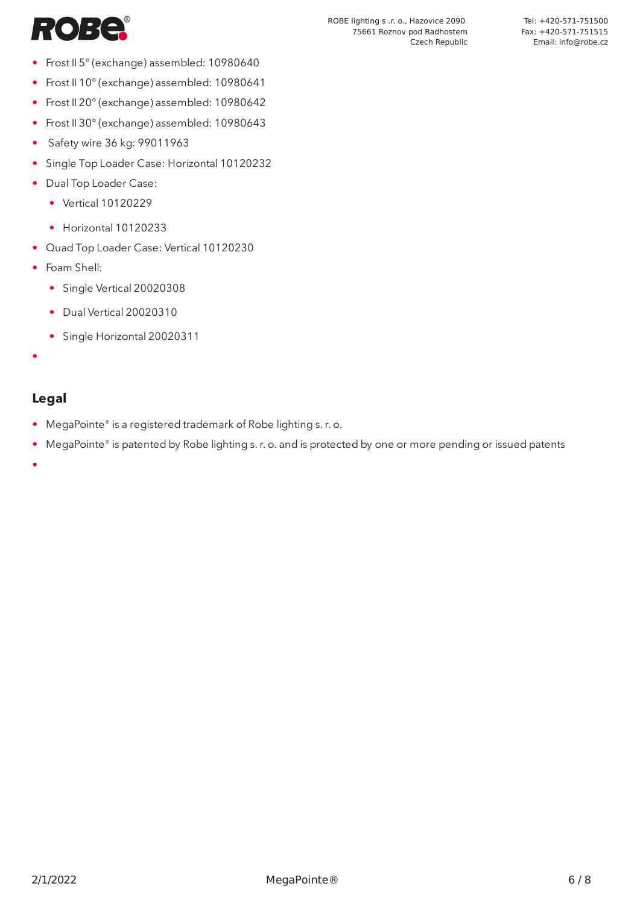

- Frost II 5° (exchange) assembled: 10980640
- Frost II 10° (exchange) assembled: 10980641
- Frost II 20° (exchange) assembled: 10980642
- Frost II 30° (exchange) assembled: 10980643
- Safety wire 36 kg: 99011963
- Single Top Loader Case: Horizontal 10120232
- Dual Top Loader Case:
	- Vertical 10120229
	- Horizontal 10120233
- Quad Top Loader Case: Vertical 10120230
- Foam Shell:
	- Single Vertical 20020308
	- Dual Vertical 20020310
	- Single Horizontal 20020311
- •

#### **Legal**

- MegaPointe® is a registered trademark of Robe lighting s. r. o.
- MegaPointe® is patented by Robe lighting s. r. o. and is protected by one or more pending or issued patents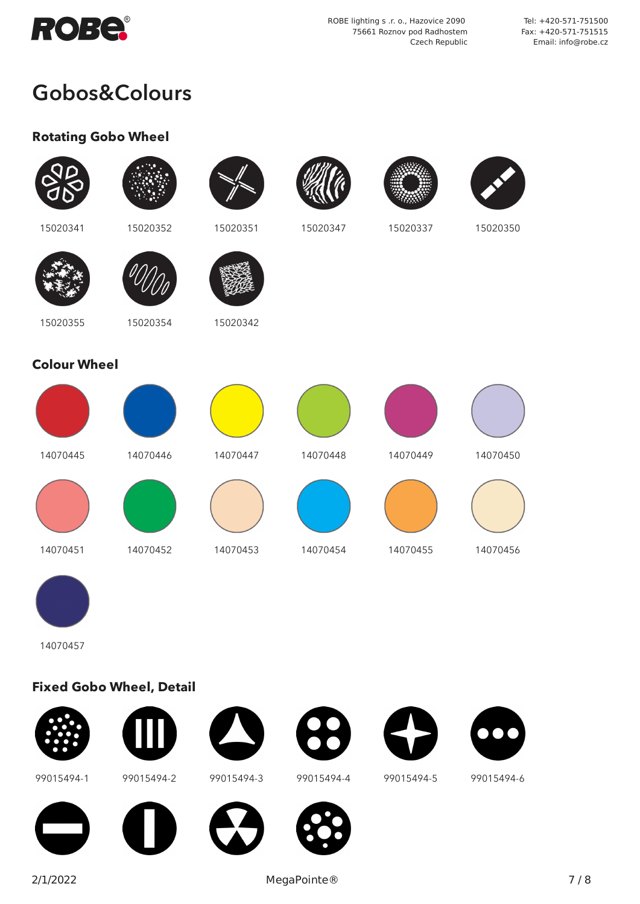

ROBE lighting s .r. o., Hazovice 2090 75661 Roznov pod Radhostem Czech Republic

Tel: +420-571-751500 Fax: +420-571-751515 Email: info@robe.cz

# Gobos&Colours

# **Rotating Gobo Wheel**

| 15020341            | 15020352 | 15020351 | 15020347 | 15020337 | 15020350 |
|---------------------|----------|----------|----------|----------|----------|
|                     |          |          |          |          |          |
| 15020355            | 15020354 | 15020342 |          |          |          |
| <b>Colour Wheel</b> |          |          |          |          |          |
|                     |          |          |          |          |          |
| 14070445            | 14070446 | 14070447 | 14070448 | 14070449 | 14070450 |
|                     |          |          |          |          |          |
| 14070451            | 14070452 | 14070453 | 14070454 | 14070455 | 14070456 |
|                     |          |          |          |          |          |
| 14070457            |          |          |          |          |          |

# **Fixed Gobo Wheel, Detail**















99015494-1 99015494-2 99015494-3 99015494-4 99015494-5 99015494-6











2/1/2022 MegaPointe® 7 / 8